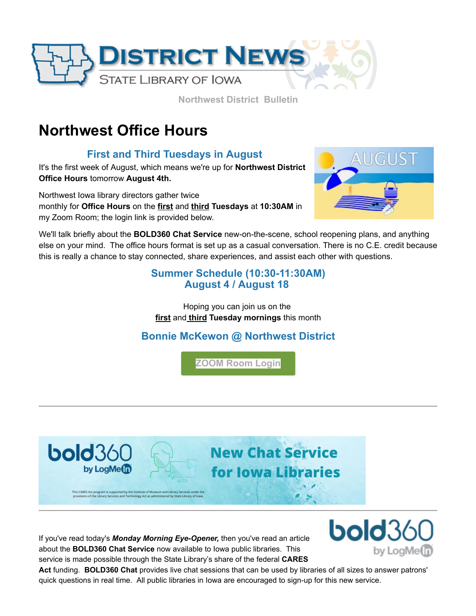

**Northwest District Bulletin**

# **Northwest Office Hours**

### **First and Third Tuesdays in August**

It's the first week of August, which means we're up for **Northwest District Office Hours** tomorrow **August 4th.** 

Northwest Iowa library directors gather twice monthly for **Office Hours** on the **first** and **third Tuesdays** at **10:30AM** in my Zoom Room; the login link is provided below.



We'll talk briefly about the **BOLD360 Chat Service** new-on-the-scene, school reopening plans, and anything else on your mind. The office hours format is set up as a casual conversation. There is no C.E. credit because this is really a chance to stay connected, share experiences, and assist each other with questions.

#### **Summer Schedule (10:30-11:30AM) August 4 / August 18**

Hoping you can join us on the **first** and **third Tuesday mornings** this month

## **[Bonnie McKewon](mailto:bonnie.mckewon@iowa.gov) @ Northwest District**

**[ZOOM Room Login](https://zoom.us/j/7124443993?utm_medium=email&utm_source=govdelivery)**



If you've read today's *Monday Morning Eye-Opener,* then you've read an article about the **BOLD360 Chat Service** now available to Iowa public libraries. This service is made possible through the State Library's share of the federal **CARES**



**Act** funding. **BOLD360 Chat** provides live chat sessions that can be used by libraries of all sizes to answer patrons' quick questions in real time. All public libraries in Iowa are encouraged to sign-up for this new service.